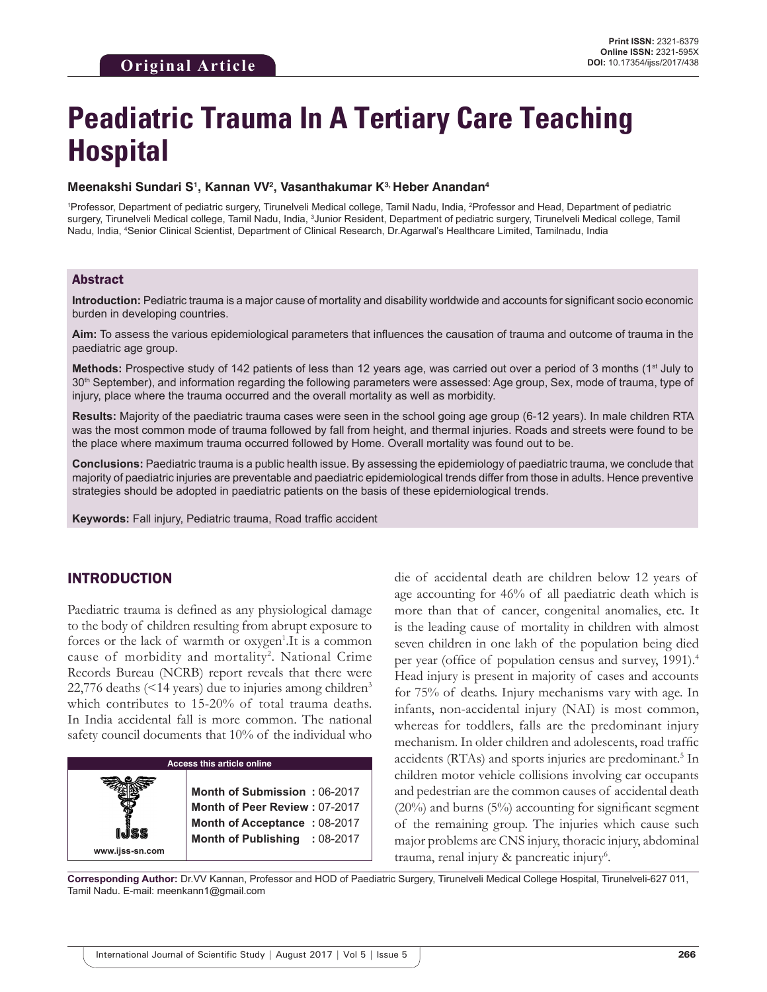# **Peadiatric Trauma In A Tertiary Care Teaching Hospital**

#### **Meenakshi Sundari S1 , Kannan VV2 , Vasanthakumar K3, Heber Anandan4**

<sup>1</sup>Professor, Department of pediatric surgery, Tirunelveli Medical college, Tamil Nadu, India, <sup>2</sup>Professor and Head, Department of pediatric surgery, Tirunelveli Medical college, Tamil Nadu, India, <sup>3</sup>Junior Resident, Department of pediatric surgery, Tirunelveli Medical college, Tamil Nadu, India, 4 Senior Clinical Scientist, Department of Clinical Research, Dr.Agarwal's Healthcare Limited, Tamilnadu, India

### Abstract

**Introduction:** Pediatric trauma is a major cause of mortality and disability worldwide and accounts for significant socio economic burden in developing countries.

**Aim:** To assess the various epidemiological parameters that influences the causation of trauma and outcome of trauma in the paediatric age group.

**Methods:** Prospective study of 142 patients of less than 12 years age, was carried out over a period of 3 months (1<sup>st</sup> July to 30<sup>th</sup> September), and information regarding the following parameters were assessed: Age group, Sex, mode of trauma, type of injury, place where the trauma occurred and the overall mortality as well as morbidity.

**Results:** Majority of the paediatric trauma cases were seen in the school going age group (6-12 years). In male children RTA was the most common mode of trauma followed by fall from height, and thermal injuries. Roads and streets were found to be the place where maximum trauma occurred followed by Home. Overall mortality was found out to be.

**Conclusions:** Paediatric trauma is a public health issue. By assessing the epidemiology of paediatric trauma, we conclude that majority of paediatric injuries are preventable and paediatric epidemiological trends differ from those in adults. Hence preventive strategies should be adopted in paediatric patients on the basis of these epidemiological trends.

**Keywords:** Fall injury, Pediatric trauma, Road traffic accident

## INTRODUCTION

Paediatric trauma is defined as any physiological damage to the body of children resulting from abrupt exposure to forces or the lack of warmth or oxygen<sup>1</sup>. It is a common cause of morbidity and mortality<sup>2</sup>. National Crime Records Bureau (NCRB) report reveals that there were 22,776 deaths  $($ <14 years) due to injuries among children<sup>3</sup> which contributes to 15-20% of total trauma deaths. In India accidental fall is more common. The national safety council documents that 10% of the individual who

| <b>Access this article online</b> |                                                                                                                                       |  |  |  |
|-----------------------------------|---------------------------------------------------------------------------------------------------------------------------------------|--|--|--|
| www.ijss-sn.com                   | Month of Submission: 06-2017<br><b>Month of Peer Review: 07-2017</b><br>Month of Acceptance: 08-2017<br>Month of Publishing : 08-2017 |  |  |  |

die of accidental death are children below 12 years of age accounting for 46% of all paediatric death which is more than that of cancer, congenital anomalies, etc. It is the leading cause of mortality in children with almost seven children in one lakh of the population being died per year (office of population census and survey, 1991).<sup>4</sup> Head injury is present in majority of cases and accounts for 75% of deaths. Injury mechanisms vary with age. In infants, non-accidental injury (NAI) is most common, whereas for toddlers, falls are the predominant injury mechanism. In older children and adolescents, road traffic accidents (RTAs) and sports injuries are predominant.<sup>5</sup> In children motor vehicle collisions involving car occupants and pedestrian are the common causes of accidental death  $(20\%)$  and burns  $(5\%)$  accounting for significant segment of the remaining group. The injuries which cause such major problems are CNS injury, thoracic injury, abdominal trauma, renal injury & pancreatic injury<sup>6</sup>.

**Corresponding Author:** Dr.VV Kannan, Professor and HOD of Paediatric Surgery, Tirunelveli Medical College Hospital, Tirunelveli-627 011, Tamil Nadu. E-mail: meenkann1@gmail.com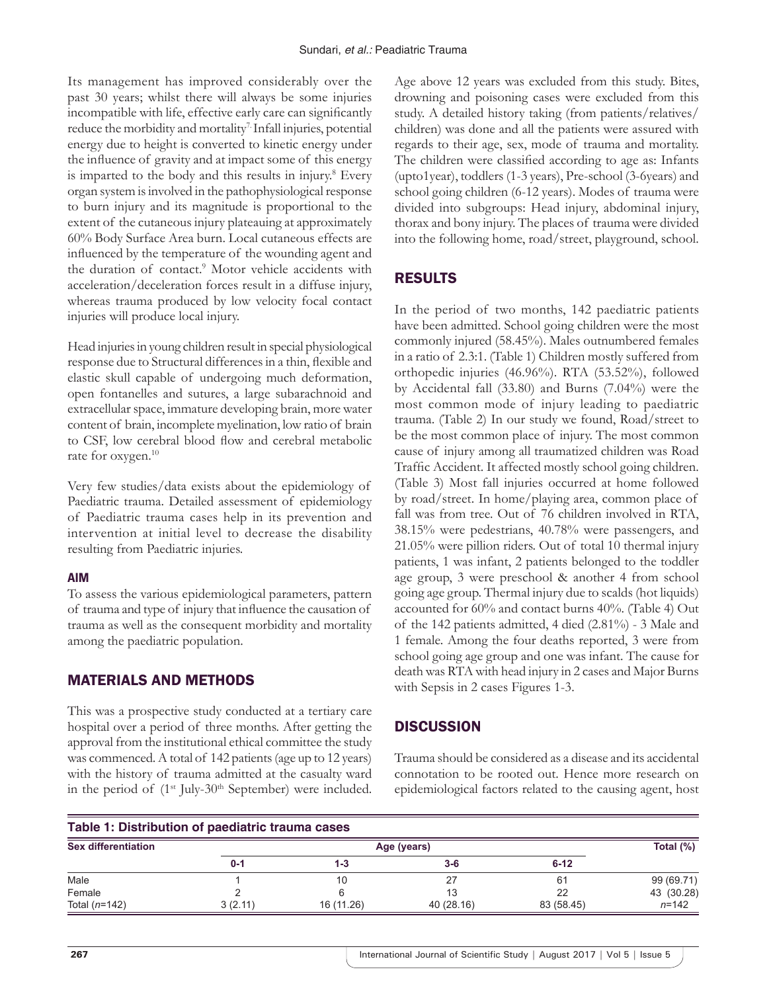Its management has improved considerably over the past 30 years; whilst there will always be some injuries incompatible with life, effective early care can significantly reduce the morbidity and mortality<sup>7</sup> Infall injuries, potential energy due to height is converted to kinetic energy under the influence of gravity and at impact some of this energy is imparted to the body and this results in injury.<sup>8</sup> Every organ system is involved in the pathophysiological response to burn injury and its magnitude is proportional to the extent of the cutaneous injury plateauing at approximately 60% Body Surface Area burn. Local cutaneous effects are influenced by the temperature of the wounding agent and the duration of contact.<sup>9</sup> Motor vehicle accidents with acceleration/deceleration forces result in a diffuse injury, whereas trauma produced by low velocity focal contact injuries will produce local injury.

Head injuries in young children result in special physiological response due to Structural differences in a thin, flexible and elastic skull capable of undergoing much deformation, open fontanelles and sutures, a large subarachnoid and extracellular space, immature developing brain, more water content of brain, incomplete myelination, low ratio of brain to CSF, low cerebral blood flow and cerebral metabolic rate for oxygen.<sup>10</sup>

Very few studies/data exists about the epidemiology of Paediatric trauma. Detailed assessment of epidemiology of Paediatric trauma cases help in its prevention and intervention at initial level to decrease the disability resulting from Paediatric injuries.

## **AIM**

To assess the various epidemiological parameters, pattern of trauma and type of injury that influence the causation of trauma as well as the consequent morbidity and mortality among the paediatric population.

## MATERIALS AND METHODS

This was a prospective study conducted at a tertiary care hospital over a period of three months. After getting the approval from the institutional ethical committee the study was commenced. A total of 142 patients (age up to 12 years) with the history of trauma admitted at the casualty ward in the period of  $(1^{st}$  July-30<sup>th</sup> September) were included. Age above 12 years was excluded from this study. Bites, drowning and poisoning cases were excluded from this study. A detailed history taking (from patients/relatives/ children) was done and all the patients were assured with regards to their age, sex, mode of trauma and mortality. The children were classified according to age as: Infants (upto1year), toddlers (1-3 years), Pre-school (3-6years) and school going children (6-12 years). Modes of trauma were divided into subgroups: Head injury, abdominal injury, thorax and bony injury. The places of trauma were divided into the following home, road/street, playground, school.

# RESULTS

In the period of two months, 142 paediatric patients have been admitted. School going children were the most commonly injured (58.45%). Males outnumbered females in a ratio of 2.3:1. (Table 1) Children mostly suffered from orthopedic injuries (46.96%). RTA (53.52%), followed by Accidental fall (33.80) and Burns (7.04%) were the most common mode of injury leading to paediatric trauma. (Table 2) In our study we found, Road/street to be the most common place of injury. The most common cause of injury among all traumatized children was Road Traffic Accident. It affected mostly school going children. (Table 3) Most fall injuries occurred at home followed by road/street. In home/playing area, common place of fall was from tree. Out of 76 children involved in RTA, 38.15% were pedestrians, 40.78% were passengers, and 21.05% were pillion riders. Out of total 10 thermal injury patients, 1 was infant, 2 patients belonged to the toddler age group, 3 were preschool & another 4 from school going age group. Thermal injury due to scalds (hot liquids) accounted for 60% and contact burns 40%. (Table 4) Out of the 142 patients admitted, 4 died (2.81%) - 3 Male and 1 female. Among the four deaths reported, 3 were from school going age group and one was infant. The cause for death was RTA with head injury in 2 cases and Major Burns with Sepsis in 2 cases Figures 1-3.

## **DISCUSSION**

Trauma should be considered as a disease and its accidental connotation to be rooted out. Hence more research on epidemiological factors related to the causing agent, host

| Table 1: Distribution of paediatric trauma cases |         |            |            |            |            |  |
|--------------------------------------------------|---------|------------|------------|------------|------------|--|
| <b>Sex differentiation</b>                       |         | Total (%)  |            |            |            |  |
|                                                  | $0 - 1$ | $1 - 3$    | $3 - 6$    | $6 - 12$   |            |  |
| Male                                             |         | 10         | 27         | 61         | 99 (69.71) |  |
| Female                                           |         |            | 13         | 22         | 43 (30.28) |  |
| Total $(n=142)$                                  | 3(2.11) | 16 (11.26) | 40 (28.16) | 83 (58.45) | $n = 142$  |  |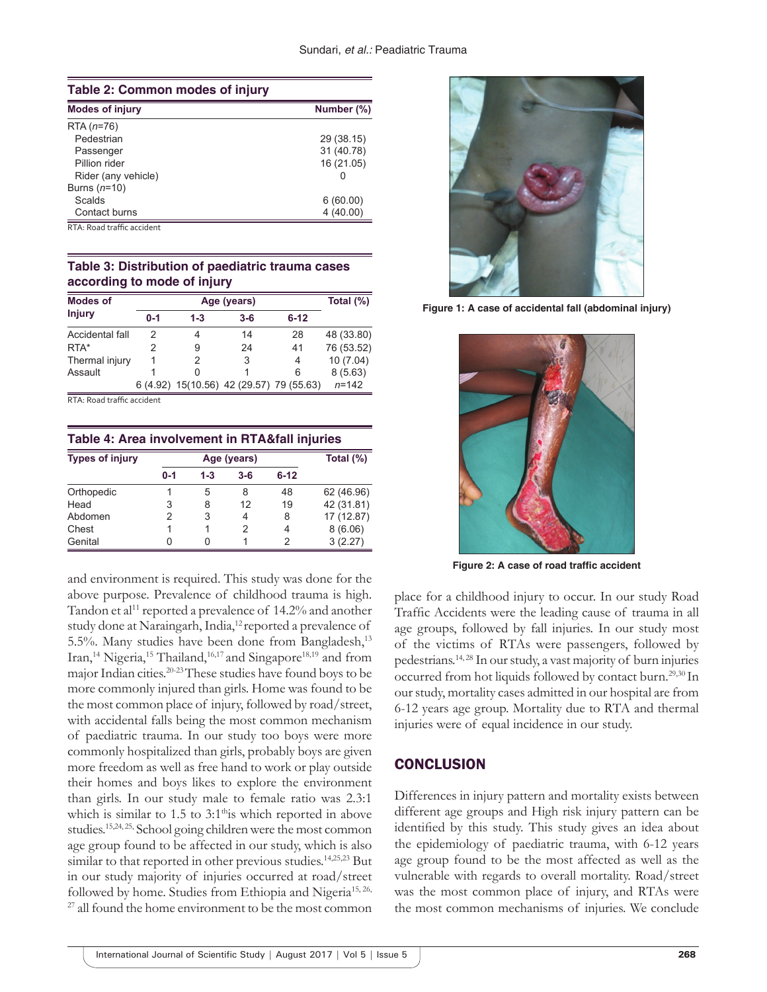| Table 2: Common modes of injury |            |  |  |  |
|---------------------------------|------------|--|--|--|
| <b>Modes of injury</b>          | Number (%) |  |  |  |
| $RTA(n=76)$                     |            |  |  |  |
| Pedestrian                      | 29 (38.15) |  |  |  |
| Passenger                       | 31 (40.78) |  |  |  |
| Pillion rider                   | 16 (21.05) |  |  |  |
| Rider (any vehicle)             |            |  |  |  |
| Burns $(n=10)$                  |            |  |  |  |
| Scalds                          | 6(60.00)   |  |  |  |
| Contact burns                   | 4(40.00)   |  |  |  |
| RTA: Road traffic accident      |            |  |  |  |

**Table 3: Distribution of paediatric trauma cases according to mode of injury**

| <b>Modes of</b> | Age (years) |         |                                           |          | Total (%)  |
|-----------------|-------------|---------|-------------------------------------------|----------|------------|
| <b>Injury</b>   | $0 - 1$     | $1 - 3$ | $3 - 6$                                   | $6 - 12$ |            |
| Accidental fall | 2           |         | 14                                        | 28       | 48 (33.80) |
| RTA*            |             | 9       | 24                                        | 41       | 76 (53.52) |
| Thermal injury  |             | 2       | 3                                         | 4        | 10(7.04)   |
| Assault         |             |         |                                           | 6        | 8(5.63)    |
|                 |             |         | 6 (4.92) 15 (10.56) 42 (29.57) 79 (55.63) |          | $n = 142$  |

RTA: Road traffic accident

| Table 4: Area involvement in RTA&fall injuries |             |         |         |          |            |
|------------------------------------------------|-------------|---------|---------|----------|------------|
| <b>Types of injury</b>                         | Age (years) |         |         |          | Total (%)  |
|                                                | $0 - 1$     | $1 - 3$ | $3 - 6$ | $6 - 12$ |            |
| Orthopedic                                     |             | 5       | 8       | 48       | 62 (46.96) |
| Head                                           | 3           | 8       | 12      | 19       | 42 (31.81) |
| Abdomen                                        | 2           | 3       | 4       | 8        | 17 (12.87) |
| Chest                                          |             |         | 2       | 4        | 8(6.06)    |
| Genital                                        |             | U       |         | 2        | 3(2.27)    |

and environment is required. This study was done for the above purpose. Prevalence of childhood trauma is high. Tandon et al<sup>11</sup> reported a prevalence of 14.2% and another study done at Naraingarh, India,<sup>12</sup> reported a prevalence of 5.5%. Many studies have been done from Bangladesh,<sup>13</sup> Iran,<sup>14</sup> Nigeria,<sup>15</sup> Thailand,<sup>16,17</sup> and Singapore<sup>18,19</sup> and from major Indian cities.20-23 These studies have found boys to be more commonly injured than girls. Home was found to be the most common place of injury, followed by road/street, with accidental falls being the most common mechanism of paediatric trauma. In our study too boys were more commonly hospitalized than girls, probably boys are given more freedom as well as free hand to work or play outside their homes and boys likes to explore the environment than girls. In our study male to female ratio was 2.3:1 which is similar to  $1.5$  to  $3:1^{\text{th}}$  is which reported in above studies.15,24, 25, School going children were the most common age group found to be affected in our study, which is also similar to that reported in other previous studies.<sup>14,25,23</sup> But in our study majority of injuries occurred at road/street followed by home. Studies from Ethiopia and Nigeria<sup>15, 26,</sup>  $27$  all found the home environment to be the most common



**Figure 1: A case of accidental fall (abdominal injury)**



**Figure 2: A case of road traffic accident**

place for a childhood injury to occur. In our study Road Traffic Accidents were the leading cause of trauma in all age groups, followed by fall injuries. In our study most of the victims of RTAs were passengers, followed by pedestrians.14, 28 In our study, a vast majority of burn injuries occurred from hot liquids followed by contact burn.29,30 In our study, mortality cases admitted in our hospital are from 6-12 years age group. Mortality due to RTA and thermal injuries were of equal incidence in our study.

## **CONCLUSION**

Differences in injury pattern and mortality exists between different age groups and High risk injury pattern can be identified by this study. This study gives an idea about the epidemiology of paediatric trauma, with 6-12 years age group found to be the most affected as well as the vulnerable with regards to overall mortality. Road/street was the most common place of injury, and RTAs were the most common mechanisms of injuries. We conclude